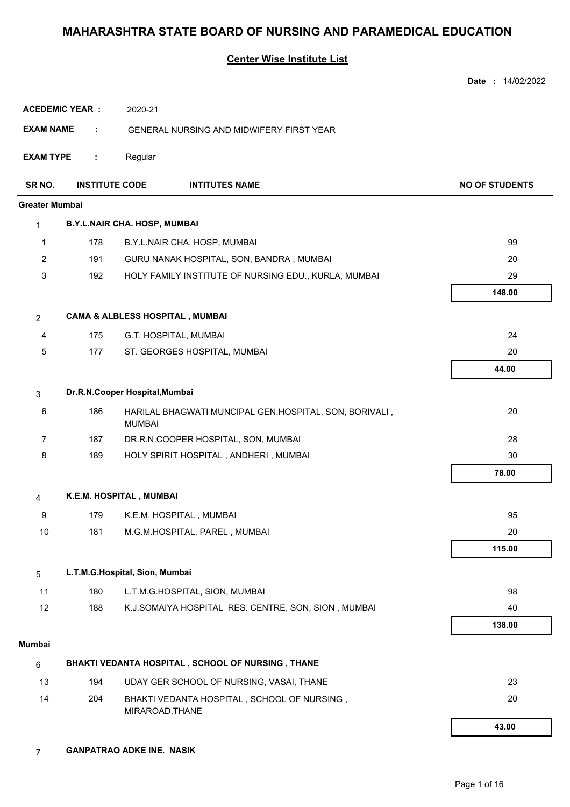#### **Center Wise Institute List**

|                       |                       |                                                                         | Date: 14/02/2022      |
|-----------------------|-----------------------|-------------------------------------------------------------------------|-----------------------|
|                       | <b>ACEDEMIC YEAR:</b> | 2020-21                                                                 |                       |
| <b>EXAM NAME</b>      | ÷                     | <b>GENERAL NURSING AND MIDWIFERY FIRST YEAR</b>                         |                       |
| <b>EXAM TYPE</b>      | ÷                     | Regular                                                                 |                       |
| SR NO.                | <b>INSTITUTE CODE</b> | <b>INTITUTES NAME</b>                                                   | <b>NO OF STUDENTS</b> |
| <b>Greater Mumbai</b> |                       |                                                                         |                       |
| 1                     |                       | <b>B.Y.L.NAIR CHA. HOSP, MUMBAI</b>                                     |                       |
| 1                     | 178                   | B.Y.L.NAIR CHA. HOSP, MUMBAI                                            | 99                    |
| $\overline{2}$        | 191                   | GURU NANAK HOSPITAL, SON, BANDRA, MUMBAI                                | 20                    |
| 3                     | 192                   | HOLY FAMILY INSTITUTE OF NURSING EDU., KURLA, MUMBAI                    | 29                    |
|                       |                       |                                                                         | 148.00                |
| $\overline{2}$        |                       | <b>CAMA &amp; ALBLESS HOSPITAL, MUMBAI</b>                              |                       |
| 4                     | 175                   | G.T. HOSPITAL, MUMBAI                                                   | 24                    |
| 5                     | 177                   | ST. GEORGES HOSPITAL, MUMBAI                                            | 20                    |
|                       |                       |                                                                         | 44.00                 |
| 3                     |                       | Dr.R.N.Cooper Hospital, Mumbai                                          |                       |
| 6                     | 186                   | HARILAL BHAGWATI MUNCIPAL GEN.HOSPITAL, SON, BORIVALI,<br><b>MUMBAI</b> | 20                    |
| $\overline{7}$        | 187                   | DR.R.N.COOPER HOSPITAL, SON, MUMBAI                                     | 28                    |
| 8                     | 189                   | HOLY SPIRIT HOSPITAL, ANDHERI, MUMBAI                                   | 30                    |
|                       |                       |                                                                         | 78.00                 |
| 4                     |                       | K.E.M. HOSPITAL, MUMBAI                                                 |                       |
| 9                     | 179                   | K.E.M. HOSPITAL, MUMBAI                                                 | 95                    |
| $10$                  | 181                   | M.G.M.HOSPITAL, PAREL, MUMBAI                                           | 20                    |
|                       |                       |                                                                         | 115.00                |
| 5                     |                       | L.T.M.G.Hospital, Sion, Mumbai                                          |                       |
| 11                    | 180                   | L.T.M.G.HOSPITAL, SION, MUMBAI                                          | 98                    |
| 12                    | 188                   | K.J.SOMAIYA HOSPITAL RES. CENTRE, SON, SION, MUMBAI                     | 40                    |
|                       |                       |                                                                         | 138.00                |
| Mumbai                |                       |                                                                         |                       |
| $\,6\,$               |                       | BHAKTI VEDANTA HOSPITAL, SCHOOL OF NURSING, THANE                       |                       |
| 13                    | 194                   | UDAY GER SCHOOL OF NURSING, VASAI, THANE                                | 23                    |
| 14                    | 204                   | BHAKTI VEDANTA HOSPITAL, SCHOOL OF NURSING,<br>MIRAROAD, THANE          | 20                    |
|                       |                       |                                                                         | 43.00                 |

7 **GANPATRAO ADKE INE. NASIK**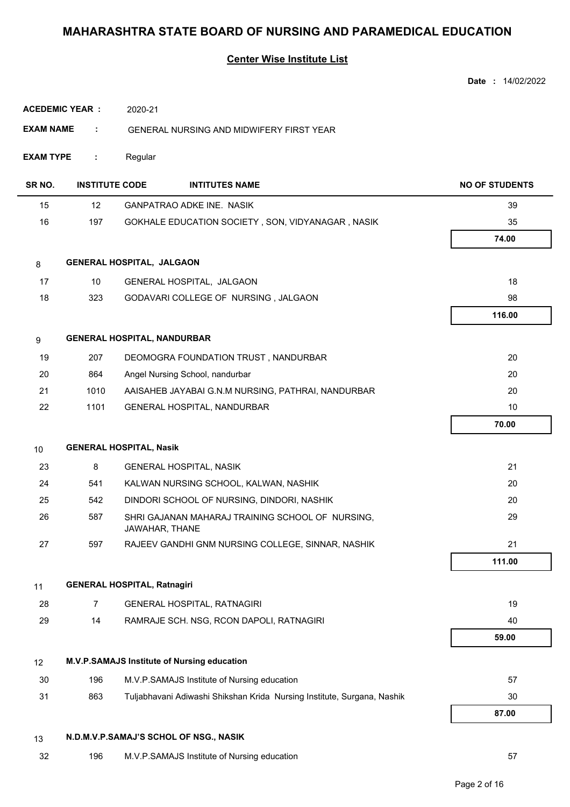|                  |                       |                                    |                                                                         | Date: 14/02/2022      |
|------------------|-----------------------|------------------------------------|-------------------------------------------------------------------------|-----------------------|
|                  | <b>ACEDEMIC YEAR:</b> | 2020-21                            |                                                                         |                       |
| <b>EXAM NAME</b> | ÷                     |                                    | GENERAL NURSING AND MIDWIFERY FIRST YEAR                                |                       |
| <b>EXAM TYPE</b> | ÷                     | Regular                            |                                                                         |                       |
| SR NO.           | <b>INSTITUTE CODE</b> |                                    | <b>INTITUTES NAME</b>                                                   | <b>NO OF STUDENTS</b> |
| 15               | 12                    |                                    | <b>GANPATRAO ADKE INE. NASIK</b>                                        | 39                    |
| 16               | 197                   |                                    | GOKHALE EDUCATION SOCIETY, SON, VIDYANAGAR, NASIK                       | 35                    |
|                  |                       |                                    |                                                                         | 74.00                 |
| 8                |                       | GENERAL HOSPITAL, JALGAON          |                                                                         |                       |
| 17               | 10                    |                                    | GENERAL HOSPITAL, JALGAON                                               | 18                    |
| 18               | 323                   |                                    | GODAVARI COLLEGE OF NURSING, JALGAON                                    | 98                    |
|                  |                       |                                    |                                                                         | 116.00                |
| 9                |                       |                                    | <b>GENERAL HOSPITAL, NANDURBAR</b>                                      |                       |
| 19               | 207                   |                                    | DEOMOGRA FOUNDATION TRUST, NANDURBAR                                    | 20                    |
| 20               | 864                   |                                    | Angel Nursing School, nandurbar                                         | 20                    |
| 21               | 1010                  |                                    | AAISAHEB JAYABAI G.N.M NURSING, PATHRAI, NANDURBAR                      | 20                    |
| 22               | 1101                  |                                    | GENERAL HOSPITAL, NANDURBAR                                             | 10                    |
|                  |                       |                                    |                                                                         | 70.00                 |
| 10               |                       | <b>GENERAL HOSPITAL, Nasik</b>     |                                                                         |                       |
| 23               | 8                     |                                    | <b>GENERAL HOSPITAL, NASIK</b>                                          | 21                    |
| 24               | 541                   |                                    | KALWAN NURSING SCHOOL, KALWAN, NASHIK                                   | 20                    |
| 25               | 542                   |                                    | DINDORI SCHOOL OF NURSING, DINDORI, NASHIK                              | 20                    |
| 26               | 587                   | JAWAHAR, THANE                     | SHRI GAJANAN MAHARAJ TRAINING SCHOOL OF NURSING,                        | 29                    |
| 27               | 597                   |                                    | RAJEEV GANDHI GNM NURSING COLLEGE, SINNAR, NASHIK                       | 21                    |
|                  |                       |                                    |                                                                         | 111.00                |
| 11               |                       | <b>GENERAL HOSPITAL, Ratnagiri</b> |                                                                         |                       |
| 28               | $\overline{7}$        |                                    | GENERAL HOSPITAL, RATNAGIRI                                             | 19                    |
| 29               | 14                    |                                    | RAMRAJE SCH. NSG, RCON DAPOLI, RATNAGIRI                                | 40                    |
|                  |                       |                                    |                                                                         | 59.00                 |
| 12               |                       |                                    | M.V.P.SAMAJS Institute of Nursing education                             |                       |
| 30               | 196                   |                                    | M.V.P.SAMAJS Institute of Nursing education                             | 57                    |
| 31               | 863                   |                                    | Tuljabhavani Adiwashi Shikshan Krida Nursing Institute, Surgana, Nashik | 30                    |
|                  |                       |                                    |                                                                         | 87.00                 |
| 13               |                       |                                    | N.D.M.V.P.SAMAJ'S SCHOL OF NSG., NASIK                                  |                       |
| 32               | 196                   |                                    | M.V.P.SAMAJS Institute of Nursing education                             | 57                    |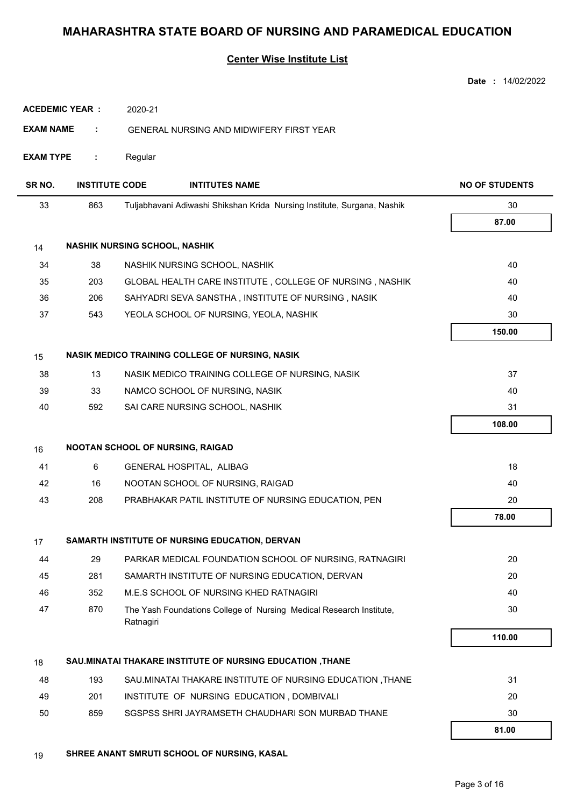#### **Center Wise Institute List**

|                       |                       |                                                                                  | Date: 14/02/2022      |
|-----------------------|-----------------------|----------------------------------------------------------------------------------|-----------------------|
| <b>ACEDEMIC YEAR:</b> |                       | 2020-21                                                                          |                       |
| <b>EXAM NAME</b>      | ÷                     | <b>GENERAL NURSING AND MIDWIFERY FIRST YEAR</b>                                  |                       |
| <b>EXAM TYPE</b>      | ÷                     | Regular                                                                          |                       |
| SR NO.                | <b>INSTITUTE CODE</b> | <b>INTITUTES NAME</b>                                                            | <b>NO OF STUDENTS</b> |
| 33                    | 863                   | Tuljabhavani Adiwashi Shikshan Krida Nursing Institute, Surgana, Nashik          | 30                    |
|                       |                       |                                                                                  | 87.00                 |
| 14                    |                       | <b>NASHIK NURSING SCHOOL, NASHIK</b>                                             |                       |
| 34                    | 38                    | NASHIK NURSING SCHOOL, NASHIK                                                    | 40                    |
| 35                    | 203                   | GLOBAL HEALTH CARE INSTITUTE, COLLEGE OF NURSING, NASHIK                         | 40                    |
| 36                    | 206                   | SAHYADRI SEVA SANSTHA, INSTITUTE OF NURSING, NASIK                               | 40                    |
| 37                    | 543                   | YEOLA SCHOOL OF NURSING, YEOLA, NASHIK                                           | 30                    |
|                       |                       |                                                                                  | 150.00                |
| 15                    |                       | NASIK MEDICO TRAINING COLLEGE OF NURSING, NASIK                                  |                       |
| 38                    | 13                    | NASIK MEDICO TRAINING COLLEGE OF NURSING, NASIK                                  | 37                    |
| 39                    | 33                    | NAMCO SCHOOL OF NURSING, NASIK                                                   | 40                    |
| 40                    | 592                   | SAI CARE NURSING SCHOOL, NASHIK                                                  | 31                    |
|                       |                       |                                                                                  | 108.00                |
| 16                    |                       | NOOTAN SCHOOL OF NURSING, RAIGAD                                                 |                       |
| 41                    | 6                     | GENERAL HOSPITAL, ALIBAG                                                         | 18                    |
| 42                    | 16                    | NOOTAN SCHOOL OF NURSING, RAIGAD                                                 | 40                    |
| 43                    | 208                   | PRABHAKAR PATIL INSTITUTE OF NURSING EDUCATION, PEN                              | 20                    |
|                       |                       |                                                                                  | 78.00                 |
| 17                    |                       | SAMARTH INSTITUTE OF NURSING EDUCATION, DERVAN                                   |                       |
| 44                    | 29                    | PARKAR MEDICAL FOUNDATION SCHOOL OF NURSING, RATNAGIRI                           | 20                    |
| 45                    | 281                   | SAMARTH INSTITUTE OF NURSING EDUCATION, DERVAN                                   | 20                    |
| 46                    | 352                   | M.E.S SCHOOL OF NURSING KHED RATNAGIRI                                           | 40                    |
| 47                    | 870                   | The Yash Foundations College of Nursing Medical Research Institute,<br>Ratnagiri | 30                    |
|                       |                       |                                                                                  | 110.00                |
| 18                    |                       | SAU.MINATAI THAKARE INSTITUTE OF NURSING EDUCATION , THANE                       |                       |
| 48                    | 193                   | SAU.MINATAI THAKARE INSTITUTE OF NURSING EDUCATION, THANE                        | 31                    |
| 49                    | 201                   | INSTITUTE OF NURSING EDUCATION, DOMBIVALI                                        | 20                    |
| 50                    | 859                   | SGSPSS SHRI JAYRAMSETH CHAUDHARI SON MURBAD THANE                                | 30                    |
|                       |                       |                                                                                  | 81.00                 |

19 **SHREE ANANT SMRUTI SCHOOL OF NURSING, KASAL**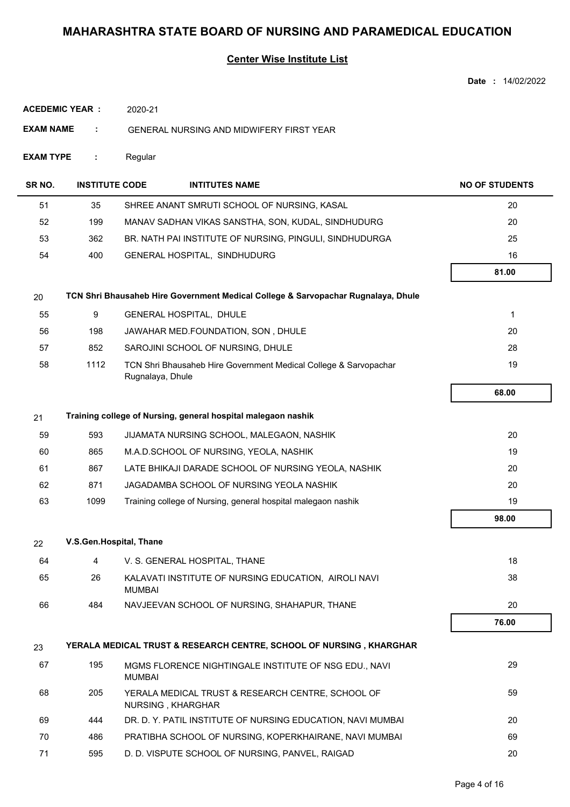|                       |                         |                                                                                      | <b>Date: 14/02/2022</b> |
|-----------------------|-------------------------|--------------------------------------------------------------------------------------|-------------------------|
| <b>ACEDEMIC YEAR:</b> |                         | 2020-21                                                                              |                         |
| <b>EXAM NAME</b>      | ÷                       | GENERAL NURSING AND MIDWIFERY FIRST YEAR                                             |                         |
| <b>EXAM TYPE</b>      | ÷                       | Regular                                                                              |                         |
| SR NO.                | <b>INSTITUTE CODE</b>   | <b>INTITUTES NAME</b>                                                                | <b>NO OF STUDENTS</b>   |
| 51                    | 35                      | SHREE ANANT SMRUTI SCHOOL OF NURSING, KASAL                                          | 20                      |
| 52                    | 199                     | MANAV SADHAN VIKAS SANSTHA, SON, KUDAL, SINDHUDURG                                   | 20                      |
| 53                    | 362                     | BR. NATH PAI INSTITUTE OF NURSING, PINGULI, SINDHUDURGA                              | 25                      |
| 54                    | 400                     | GENERAL HOSPITAL, SINDHUDURG                                                         | 16                      |
|                       |                         |                                                                                      | 81.00                   |
| 20                    |                         | TCN Shri Bhausaheb Hire Government Medical College & Sarvopachar Rugnalaya, Dhule    |                         |
| 55                    | 9                       | GENERAL HOSPITAL, DHULE                                                              | 1                       |
| 56                    | 198                     | JAWAHAR MED.FOUNDATION, SON, DHULE                                                   | 20                      |
| 57                    | 852                     | SAROJINI SCHOOL OF NURSING, DHULE                                                    | 28                      |
| 58                    | 1112                    | TCN Shri Bhausaheb Hire Government Medical College & Sarvopachar<br>Rugnalaya, Dhule | 19                      |
|                       |                         |                                                                                      | 68.00                   |
| 21                    |                         | Training college of Nursing, general hospital malegaon nashik                        |                         |
| 59                    | 593                     | JIJAMATA NURSING SCHOOL, MALEGAON, NASHIK                                            | 20                      |
| 60                    | 865                     | M.A.D.SCHOOL OF NURSING, YEOLA, NASHIK                                               | 19                      |
| 61                    | 867                     | LATE BHIKAJI DARADE SCHOOL OF NURSING YEOLA, NASHIK                                  | 20                      |
| 62                    | 871                     | JAGADAMBA SCHOOL OF NURSING YEOLA NASHIK                                             | 20                      |
| 63                    | 1099                    | Training college of Nursing, general hospital malegaon nashik                        | 19                      |
|                       |                         |                                                                                      | 98.00                   |
| 22                    | V.S.Gen.Hospital, Thane |                                                                                      |                         |
| 64                    | 4                       | V. S. GENERAL HOSPITAL, THANE                                                        | 18                      |
| 65                    | 26                      | KALAVATI INSTITUTE OF NURSING EDUCATION, AIROLI NAVI<br><b>MUMBAI</b>                | 38                      |
| 66                    | 484                     | NAVJEEVAN SCHOOL OF NURSING, SHAHAPUR, THANE                                         | 20                      |
|                       |                         |                                                                                      | 76.00                   |
| 23                    |                         | YERALA MEDICAL TRUST & RESEARCH CENTRE, SCHOOL OF NURSING, KHARGHAR                  |                         |
| 67                    | 195                     | MGMS FLORENCE NIGHTINGALE INSTITUTE OF NSG EDU., NAVI<br><b>MUMBAI</b>               | 29                      |
| 68                    | 205                     | YERALA MEDICAL TRUST & RESEARCH CENTRE, SCHOOL OF<br>NURSING, KHARGHAR               | 59                      |
| 69                    | 444                     | DR. D. Y. PATIL INSTITUTE OF NURSING EDUCATION, NAVI MUMBAI                          | 20                      |
| 70                    | 486                     | PRATIBHA SCHOOL OF NURSING, KOPERKHAIRANE, NAVI MUMBAI                               | 69                      |
| 71                    | 595                     | D. D. VISPUTE SCHOOL OF NURSING, PANVEL, RAIGAD                                      | 20                      |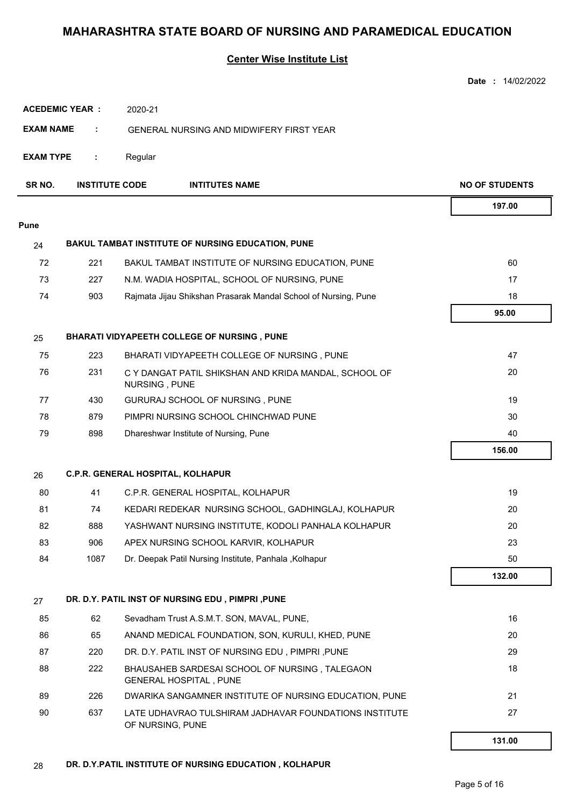|                  |                       |                                                                                 | <b>Date: 14/02/2022</b> |
|------------------|-----------------------|---------------------------------------------------------------------------------|-------------------------|
|                  | <b>ACEDEMIC YEAR:</b> | 2020-21                                                                         |                         |
| <b>EXAM NAME</b> | ÷                     | GENERAL NURSING AND MIDWIFERY FIRST YEAR                                        |                         |
| <b>EXAM TYPE</b> | ÷                     | Regular                                                                         |                         |
| SR NO.           | <b>INSTITUTE CODE</b> | <b>INTITUTES NAME</b>                                                           | <b>NO OF STUDENTS</b>   |
|                  |                       |                                                                                 | 197.00                  |
| Pune             |                       |                                                                                 |                         |
| 24               |                       | <b>BAKUL TAMBAT INSTITUTE OF NURSING EDUCATION, PUNE</b>                        |                         |
| 72               | 221                   | BAKUL TAMBAT INSTITUTE OF NURSING EDUCATION, PUNE                               | 60                      |
| 73               | 227                   | N.M. WADIA HOSPITAL, SCHOOL OF NURSING, PUNE                                    | 17                      |
| 74               | 903                   | Rajmata Jijau Shikshan Prasarak Mandal School of Nursing, Pune                  | 18                      |
|                  |                       |                                                                                 | 95.00                   |
| 25               |                       | BHARATI VIDYAPEETH COLLEGE OF NURSING, PUNE                                     |                         |
| 75               | 223                   | BHARATI VIDYAPEETH COLLEGE OF NURSING, PUNE                                     | 47                      |
| 76               | 231                   | C Y DANGAT PATIL SHIKSHAN AND KRIDA MANDAL, SCHOOL OF<br>NURSING, PUNE          | 20                      |
| 77               | 430                   | GURURAJ SCHOOL OF NURSING, PUNE                                                 | 19                      |
| 78               | 879                   | PIMPRI NURSING SCHOOL CHINCHWAD PUNE                                            | 30                      |
| 79               | 898                   | Dhareshwar Institute of Nursing, Pune                                           | 40                      |
|                  |                       |                                                                                 | 156.00                  |
| 26               |                       | C.P.R. GENERAL HOSPITAL, KOLHAPUR                                               |                         |
| 80               | 41                    | C.P.R. GENERAL HOSPITAL, KOLHAPUR                                               | 19                      |
| 81               | 74                    | KEDARI REDEKAR NURSING SCHOOL, GADHINGLAJ, KOLHAPUR                             | 20                      |
| 82               | 888                   | YASHWANT NURSING INSTITUTE, KODOLI PANHALA KOLHAPUR                             | 20                      |
| 83               | 906                   | APEX NURSING SCHOOL KARVIR, KOLHAPUR                                            | 23                      |
| 84               | 1087                  | Dr. Deepak Patil Nursing Institute, Panhala, Kolhapur                           | 50                      |
|                  |                       |                                                                                 | 132.00                  |
| 27               |                       | DR. D.Y. PATIL INST OF NURSING EDU, PIMPRI, PUNE                                |                         |
| 85               | 62                    | Sevadham Trust A.S.M.T. SON, MAVAL, PUNE,                                       | 16                      |
| 86               | 65                    | ANAND MEDICAL FOUNDATION, SON, KURULI, KHED, PUNE                               | 20                      |
| 87               | 220                   | DR. D.Y. PATIL INST OF NURSING EDU, PIMPRI, PUNE                                | 29                      |
| 88               | 222                   | BHAUSAHEB SARDESAI SCHOOL OF NURSING, TALEGAON<br><b>GENERAL HOSPITAL, PUNE</b> | 18                      |
| 89               | 226                   | DWARIKA SANGAMNER INSTITUTE OF NURSING EDUCATION, PUNE                          | 21                      |
| 90               | 637                   | LATE UDHAVRAO TULSHIRAM JADHAVAR FOUNDATIONS INSTITUTE<br>OF NURSING, PUNE      | 27                      |
|                  |                       |                                                                                 | 131.00                  |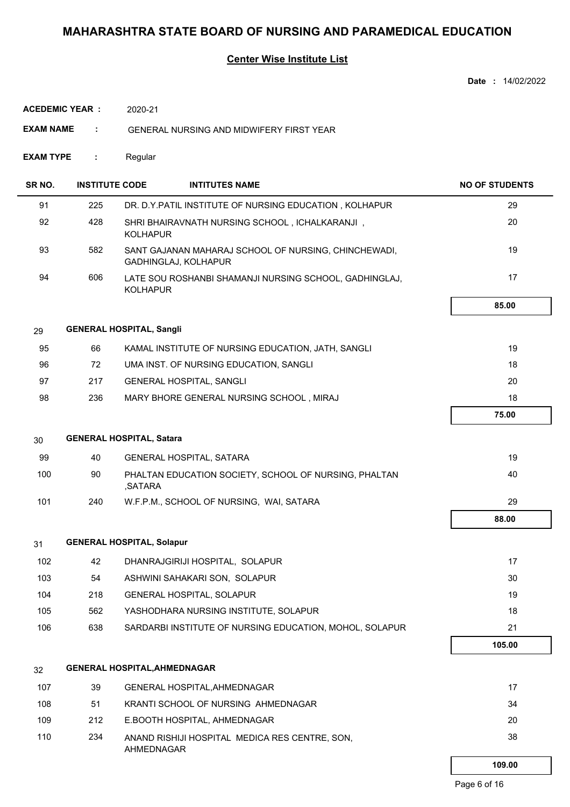#### **Center Wise Institute List**

|                  |                        |                                  |                                                                              | <b>Date: 14/02/2022</b> |
|------------------|------------------------|----------------------------------|------------------------------------------------------------------------------|-------------------------|
|                  | <b>ACEDEMIC YEAR :</b> | 2020-21                          |                                                                              |                         |
| <b>EXAM NAME</b> | ÷                      |                                  | <b>GENERAL NURSING AND MIDWIFERY FIRST YEAR</b>                              |                         |
| EXAM TYPE        | ÷                      | Regular                          |                                                                              |                         |
| SR NO.           | <b>INSTITUTE CODE</b>  |                                  | <b>INTITUTES NAME</b>                                                        | <b>NO OF STUDENTS</b>   |
| 91               | 225                    |                                  | DR. D.Y.PATIL INSTITUTE OF NURSING EDUCATION, KOLHAPUR                       | 29                      |
| 92               | 428                    | <b>KOLHAPUR</b>                  | SHRI BHAIRAVNATH NURSING SCHOOL, ICHALKARANJI,                               | 20                      |
| 93               | 582                    |                                  | SANT GAJANAN MAHARAJ SCHOOL OF NURSING, CHINCHEWADI,<br>GADHINGLAJ, KOLHAPUR | 19                      |
| 94               | 606                    | <b>KOLHAPUR</b>                  | LATE SOU ROSHANBI SHAMANJI NURSING SCHOOL, GADHINGLAJ,                       | 17                      |
|                  |                        |                                  |                                                                              | 85.00                   |
| 29               |                        | <b>GENERAL HOSPITAL, Sangli</b>  |                                                                              |                         |
| 95               | 66                     |                                  | KAMAL INSTITUTE OF NURSING EDUCATION, JATH, SANGLI                           | 19                      |
| 96               | 72                     |                                  | UMA INST. OF NURSING EDUCATION, SANGLI                                       | 18                      |
| 97               | 217                    |                                  | GENERAL HOSPITAL, SANGLI                                                     | 20                      |
| 98               | 236                    |                                  | MARY BHORE GENERAL NURSING SCHOOL, MIRAJ                                     | 18                      |
|                  |                        |                                  |                                                                              | 75.00                   |
| 30               |                        | <b>GENERAL HOSPITAL, Satara</b>  |                                                                              |                         |
| 99               | 40                     |                                  | GENERAL HOSPITAL, SATARA                                                     | 19                      |
| 100              | 90                     | ,SATARA                          | PHALTAN EDUCATION SOCIETY, SCHOOL OF NURSING, PHALTAN                        | 40                      |
| 101              | 240                    |                                  | W.F.P.M., SCHOOL OF NURSING, WAI, SATARA                                     | 29                      |
|                  |                        |                                  |                                                                              | 88.00                   |
| 31               |                        | <b>GENERAL HOSPITAL, Solapur</b> |                                                                              |                         |
| 102              | 42                     |                                  | DHANRAJGIRIJI HOSPITAL, SOLAPUR                                              | 17                      |
| 103              | 54                     |                                  | ASHWINI SAHAKARI SON, SOLAPUR                                                | 30                      |
| 104              | 218                    |                                  | GENERAL HOSPITAL, SOLAPUR                                                    | 19                      |
| 105              | 562                    |                                  | YASHODHARA NURSING INSTITUTE, SOLAPUR                                        | 18                      |
| 106              | 638                    |                                  | SARDARBI INSTITUTE OF NURSING EDUCATION, MOHOL, SOLAPUR                      | 21                      |
|                  |                        |                                  |                                                                              | 105.00                  |
| 32               |                        |                                  | <b>GENERAL HOSPITAL, AHMEDNAGAR</b>                                          |                         |
| 107              | 39                     |                                  | GENERAL HOSPITAL, AHMEDNAGAR                                                 | 17                      |
| 108              | 51                     |                                  | KRANTI SCHOOL OF NURSING AHMEDNAGAR                                          | 34                      |
| 109              | 212                    |                                  | E.BOOTH HOSPITAL, AHMEDNAGAR                                                 | 20                      |
| 110              | 234                    | AHMEDNAGAR                       | ANAND RISHIJI HOSPITAL MEDICA RES CENTRE, SON,                               | 38                      |

 **109.00**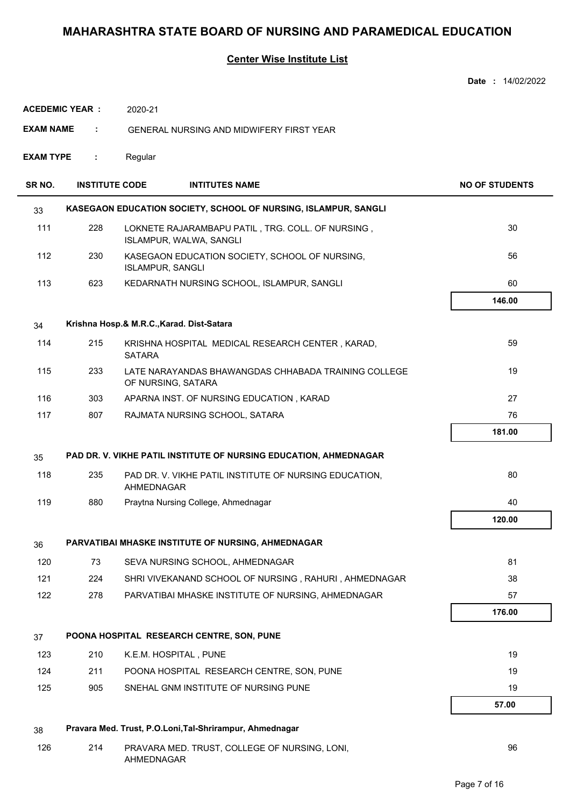|                  |                       |               |                                                                              | Date: 14/02/2022      |
|------------------|-----------------------|---------------|------------------------------------------------------------------------------|-----------------------|
|                  | <b>ACEDEMIC YEAR:</b> | 2020-21       |                                                                              |                       |
| <b>EXAM NAME</b> | ÷.                    |               | GENERAL NURSING AND MIDWIFERY FIRST YEAR                                     |                       |
| <b>EXAM TYPE</b> | ÷.                    |               |                                                                              |                       |
| SR NO.           | <b>INSTITUTE CODE</b> |               | <b>INTITUTES NAME</b>                                                        | <b>NO OF STUDENTS</b> |
| 33               |                       |               | KASEGAON EDUCATION SOCIETY, SCHOOL OF NURSING, ISLAMPUR, SANGLI              |                       |
| 111              | 228                   |               | LOKNETE RAJARAMBAPU PATIL, TRG. COLL. OF NURSING,<br>ISLAMPUR, WALWA, SANGLI | 30                    |
| 112              | 230                   |               | KASEGAON EDUCATION SOCIETY, SCHOOL OF NURSING,<br><b>ISLAMPUR, SANGLI</b>    | 56                    |
| 113              | 623                   |               | KEDARNATH NURSING SCHOOL, ISLAMPUR, SANGLI                                   | 60                    |
|                  |                       |               |                                                                              | 146.00                |
| 34               |                       |               | Krishna Hosp.& M.R.C., Karad. Dist-Satara                                    |                       |
| 114              | 215                   | <b>SATARA</b> | KRISHNA HOSPITAL MEDICAL RESEARCH CENTER, KARAD,                             | 59                    |
| 115              | 233                   |               | LATE NARAYANDAS BHAWANGDAS CHHABADA TRAINING COLLEGE<br>OF NURSING, SATARA   | 19                    |
| 116              | 303                   |               | APARNA INST. OF NURSING EDUCATION, KARAD                                     | 27                    |
| 117              | 807                   |               | RAJMATA NURSING SCHOOL, SATARA                                               | 76                    |
|                  |                       |               |                                                                              | 181.00                |
| 35               |                       |               | PAD DR. V. VIKHE PATIL INSTITUTE OF NURSING EDUCATION, AHMEDNAGAR            |                       |
| 118              | 235                   | AHMEDNAGAR    | PAD DR. V. VIKHE PATIL INSTITUTE OF NURSING EDUCATION,                       | 80                    |
| 119              | 880                   |               | Praytna Nursing College, Ahmednagar                                          | 40                    |
|                  |                       |               |                                                                              | 120.00                |
| 36               |                       |               | PARVATIBAI MHASKE INSTITUTE OF NURSING, AHMEDNAGAR                           |                       |
| 120              | 73                    |               | SEVA NURSING SCHOOL, AHMEDNAGAR                                              | 81                    |
| 121              | 224                   |               | SHRI VIVEKANAND SCHOOL OF NURSING, RAHURI, AHMEDNAGAR                        | 38                    |
| 122              | 278                   |               | PARVATIBAI MHASKE INSTITUTE OF NURSING, AHMEDNAGAR                           | 57                    |
|                  |                       |               |                                                                              | 176.00                |
| 37               |                       |               | POONA HOSPITAL RESEARCH CENTRE, SON, PUNE                                    |                       |
| 123              | 210                   |               | K.E.M. HOSPITAL, PUNE                                                        | 19                    |
| 124              | 211                   |               | POONA HOSPITAL RESEARCH CENTRE, SON, PUNE                                    | 19                    |
| 125              | 905                   |               | SNEHAL GNM INSTITUTE OF NURSING PUNE                                         | 19                    |
|                  |                       |               |                                                                              | 57.00                 |
| 38               |                       |               | Pravara Med. Trust, P.O.Loni, Tal-Shrirampur, Ahmednagar                     |                       |
| 126              | 214                   | AHMEDNAGAR    | PRAVARA MED. TRUST, COLLEGE OF NURSING, LONI,                                | 96                    |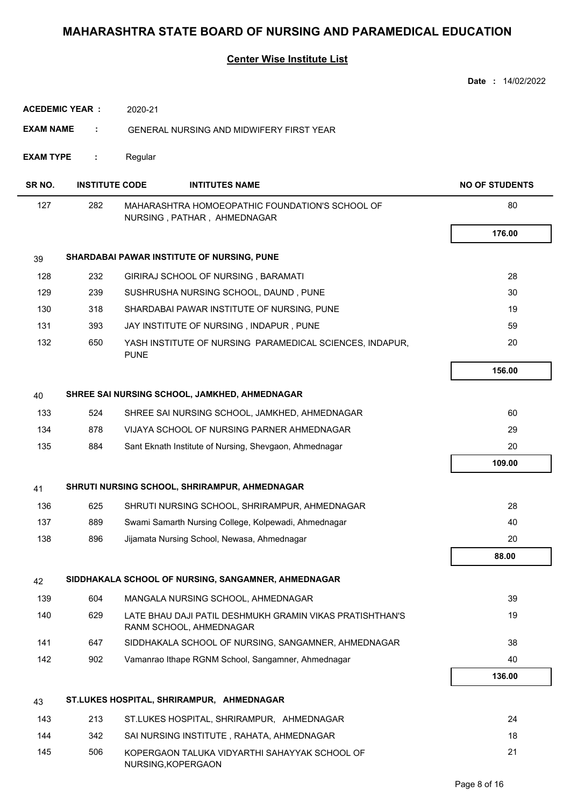|                        |                       |                                                                                     | <b>Date: 14/02/2022</b> |
|------------------------|-----------------------|-------------------------------------------------------------------------------------|-------------------------|
| <b>ACEDEMIC YEAR :</b> |                       | 2020-21                                                                             |                         |
| EXAM NAME              | ÷                     | <b>GENERAL NURSING AND MIDWIFERY FIRST YEAR</b>                                     |                         |
| <b>EXAM TYPE</b>       | ÷                     | Regular                                                                             |                         |
| SR NO.                 | <b>INSTITUTE CODE</b> | <b>INTITUTES NAME</b>                                                               | <b>NO OF STUDENTS</b>   |
| 127                    | 282                   | MAHARASHTRA HOMOEOPATHIC FOUNDATION'S SCHOOL OF<br>NURSING, PATHAR, AHMEDNAGAR      | 80                      |
|                        |                       |                                                                                     | 176.00                  |
| 39                     |                       | SHARDABAI PAWAR INSTITUTE OF NURSING, PUNE                                          |                         |
| 128                    | 232                   | GIRIRAJ SCHOOL OF NURSING, BARAMATI                                                 | 28                      |
| 129                    | 239                   | SUSHRUSHA NURSING SCHOOL, DAUND, PUNE                                               | 30                      |
| 130                    | 318                   | SHARDABAI PAWAR INSTITUTE OF NURSING, PUNE                                          | 19                      |
| 131                    | 393                   | JAY INSTITUTE OF NURSING, INDAPUR, PUNE                                             | 59                      |
| 132                    | 650                   | YASH INSTITUTE OF NURSING PARAMEDICAL SCIENCES, INDAPUR,<br><b>PUNE</b>             | 20                      |
|                        |                       |                                                                                     | 156.00                  |
| 40                     |                       | SHREE SAI NURSING SCHOOL, JAMKHED, AHMEDNAGAR                                       |                         |
| 133                    | 524                   | SHREE SAI NURSING SCHOOL, JAMKHED, AHMEDNAGAR                                       | 60                      |
| 134                    | 878                   | VIJAYA SCHOOL OF NURSING PARNER AHMEDNAGAR                                          | 29                      |
| 135                    | 884                   | Sant Eknath Institute of Nursing, Shevgaon, Ahmednagar                              | 20                      |
|                        |                       |                                                                                     | 109.00                  |
| 41                     |                       | SHRUTI NURSING SCHOOL, SHRIRAMPUR, AHMEDNAGAR                                       |                         |
| 136                    | 625                   | SHRUTI NURSING SCHOOL, SHRIRAMPUR, AHMEDNAGAR                                       | 28                      |
| 137                    | 889                   | Swami Samarth Nursing College, Kolpewadi, Ahmednagar                                | 40                      |
| 138                    | 896                   | Jijamata Nursing School, Newasa, Ahmednagar                                         | 20                      |
|                        |                       |                                                                                     | 88.00                   |
| 42                     |                       | SIDDHAKALA SCHOOL OF NURSING, SANGAMNER, AHMEDNAGAR                                 |                         |
| 139                    | 604                   | MANGALA NURSING SCHOOL, AHMEDNAGAR                                                  | 39                      |
| 140                    | 629                   | LATE BHAU DAJI PATIL DESHMUKH GRAMIN VIKAS PRATISHTHAN'S<br>RANM SCHOOL, AHMEDNAGAR | 19                      |
| 141                    | 647                   | SIDDHAKALA SCHOOL OF NURSING, SANGAMNER, AHMEDNAGAR                                 | 38                      |
| 142                    | 902                   | Vamanrao Ithape RGNM School, Sangamner, Ahmednagar                                  | 40                      |
|                        |                       |                                                                                     | 136.00                  |
| 43                     |                       | ST.LUKES HOSPITAL, SHRIRAMPUR, AHMEDNAGAR                                           |                         |
| 143                    | 213                   | ST.LUKES HOSPITAL, SHRIRAMPUR, AHMEDNAGAR                                           | 24                      |
| 144                    | 342                   | SAI NURSING INSTITUTE, RAHATA, AHMEDNAGAR                                           | 18                      |
| 145                    | 506                   | KOPERGAON TALUKA VIDYARTHI SAHAYYAK SCHOOL OF<br>NURSING, KOPERGAON                 | 21                      |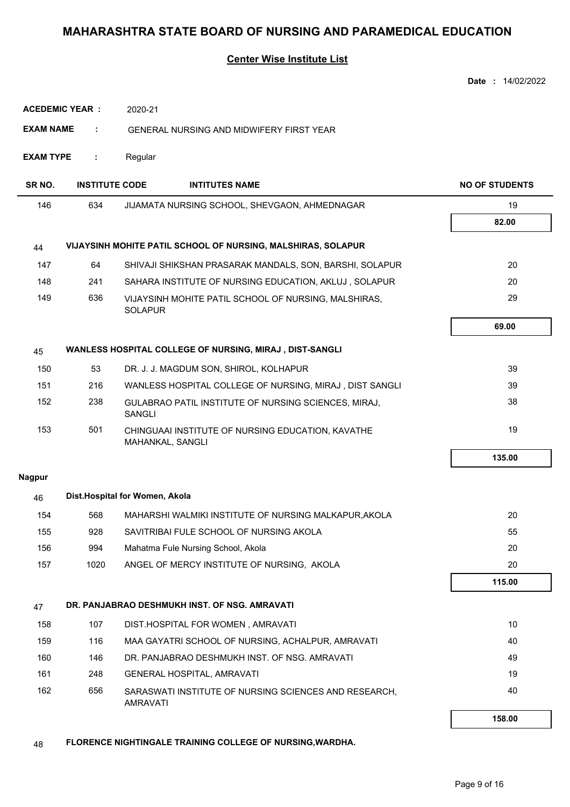#### **Center Wise Institute List**

|                  |                       |                                                                          | Date: 14/02/2022      |
|------------------|-----------------------|--------------------------------------------------------------------------|-----------------------|
|                  | <b>ACEDEMIC YEAR:</b> | 2020-21                                                                  |                       |
| <b>EXAM NAME</b> | ÷                     | <b>GENERAL NURSING AND MIDWIFERY FIRST YEAR</b>                          |                       |
| <b>EXAM TYPE</b> | ÷                     | Regular                                                                  |                       |
| SR NO.           | <b>INSTITUTE CODE</b> | <b>INTITUTES NAME</b>                                                    | <b>NO OF STUDENTS</b> |
| 146              | 634                   | JIJAMATA NURSING SCHOOL, SHEVGAON, AHMEDNAGAR                            | 19                    |
|                  |                       |                                                                          | 82.00                 |
| 44               |                       | VIJAYSINH MOHITE PATIL SCHOOL OF NURSING, MALSHIRAS, SOLAPUR             |                       |
| 147              | 64                    | SHIVAJI SHIKSHAN PRASARAK MANDALS, SON, BARSHI, SOLAPUR                  | 20                    |
| 148              | 241                   | SAHARA INSTITUTE OF NURSING EDUCATION, AKLUJ, SOLAPUR                    | 20                    |
| 149              | 636                   | VIJAYSINH MOHITE PATIL SCHOOL OF NURSING, MALSHIRAS,<br><b>SOLAPUR</b>   | 29                    |
|                  |                       |                                                                          | 69.00                 |
| 45               |                       | WANLESS HOSPITAL COLLEGE OF NURSING, MIRAJ, DIST-SANGLI                  |                       |
| 150              | 53                    | DR. J. J. MAGDUM SON, SHIROL, KOLHAPUR                                   | 39                    |
| 151              | 216                   | WANLESS HOSPITAL COLLEGE OF NURSING, MIRAJ, DIST SANGLI                  | 39                    |
| 152              | 238                   | GULABRAO PATIL INSTITUTE OF NURSING SCIENCES, MIRAJ,<br><b>SANGLI</b>    | 38                    |
| 153              | 501                   | CHINGUAAI INSTITUTE OF NURSING EDUCATION, KAVATHE<br>MAHANKAL, SANGLI    | 19                    |
|                  |                       |                                                                          | 135.00                |
| <b>Nagpur</b>    |                       |                                                                          |                       |
| 46               |                       | Dist.Hospital for Women, Akola                                           |                       |
| 154              | 568                   | MAHARSHI WALMIKI INSTITUTE OF NURSING MALKAPUR, AKOLA                    | 20                    |
| 155              | 928                   | SAVITRIBAI FULE SCHOOL OF NURSING AKOLA                                  | 55                    |
| 156              | 994                   | Mahatma Fule Nursing School, Akola                                       | 20                    |
| 157              | 1020                  | ANGEL OF MERCY INSTITUTE OF NURSING, AKOLA                               | 20                    |
|                  |                       |                                                                          | 115.00                |
| 47               |                       | DR. PANJABRAO DESHMUKH INST. OF NSG. AMRAVATI                            |                       |
| 158              | 107                   | DIST.HOSPITAL FOR WOMEN, AMRAVATI                                        | 10                    |
| 159              | 116                   | MAA GAYATRI SCHOOL OF NURSING, ACHALPUR, AMRAVATI                        | 40                    |
| 160              | 146                   | DR. PANJABRAO DESHMUKH INST. OF NSG. AMRAVATI                            | 49                    |
| 161              | 248                   | <b>GENERAL HOSPITAL, AMRAVATI</b>                                        | 19                    |
| 162              | 656                   | SARASWATI INSTITUTE OF NURSING SCIENCES AND RESEARCH,<br><b>AMRAVATI</b> | 40                    |
|                  |                       |                                                                          | 158.00                |

48 **FLORENCE NIGHTINGALE TRAINING COLLEGE OF NURSING,WARDHA.**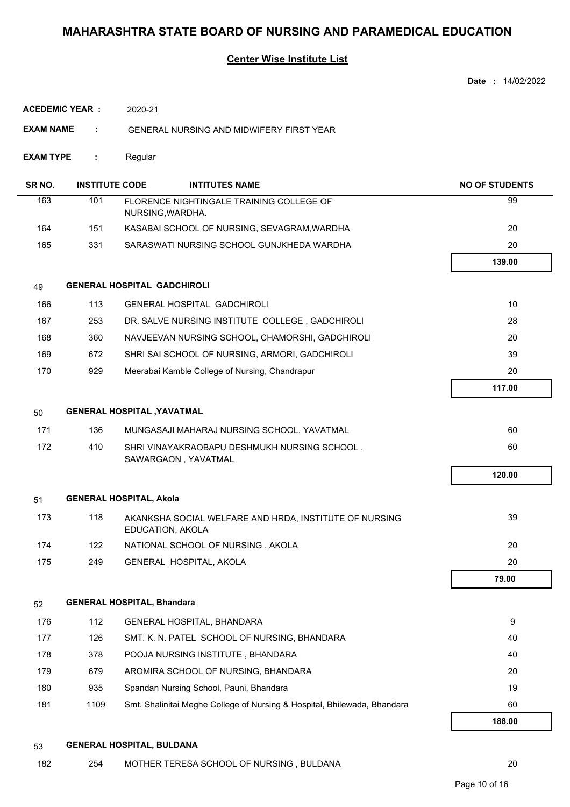#### **Center Wise Institute List**

|                  |                        |                                                                            | Date: 14/02/2022      |
|------------------|------------------------|----------------------------------------------------------------------------|-----------------------|
|                  | <b>ACEDEMIC YEAR :</b> | 2020-21                                                                    |                       |
| <b>EXAM NAME</b> | ÷                      | <b>GENERAL NURSING AND MIDWIFERY FIRST YEAR</b>                            |                       |
| <b>EXAM TYPE</b> | ÷                      | Regular                                                                    |                       |
| SR NO.           | <b>INSTITUTE CODE</b>  | <b>INTITUTES NAME</b>                                                      | <b>NO OF STUDENTS</b> |
| 163              | 101                    | FLORENCE NIGHTINGALE TRAINING COLLEGE OF<br>NURSING, WARDHA.               | 99                    |
| 164              | 151                    | KASABAI SCHOOL OF NURSING, SEVAGRAM, WARDHA                                | 20                    |
| 165              | 331                    | SARASWATI NURSING SCHOOL GUNJKHEDA WARDHA                                  | 20                    |
|                  |                        |                                                                            | 139.00                |
| 49               |                        | <b>GENERAL HOSPITAL GADCHIROLI</b>                                         |                       |
| 166              | 113                    | <b>GENERAL HOSPITAL GADCHIROLI</b>                                         | 10                    |
| 167              | 253                    | DR. SALVE NURSING INSTITUTE COLLEGE, GADCHIROLI                            | 28                    |
| 168              | 360                    | NAVJEEVAN NURSING SCHOOL, CHAMORSHI, GADCHIROLI                            | 20                    |
| 169              | 672                    | SHRI SAI SCHOOL OF NURSING, ARMORI, GADCHIROLI                             | 39                    |
| 170              | 929                    | Meerabai Kamble College of Nursing, Chandrapur                             | 20                    |
|                  |                        |                                                                            | 117.00                |
| 50               |                        | <b>GENERAL HOSPITAL , YAVATMAL</b>                                         |                       |
| 171              | 136                    | MUNGASAJI MAHARAJ NURSING SCHOOL, YAVATMAL                                 | 60                    |
| 172              | 410                    | SHRI VINAYAKRAOBAPU DESHMUKH NURSING SCHOOL,<br>SAWARGAON, YAVATMAL        | 60                    |
|                  |                        |                                                                            | 120.00                |
| 51               |                        | <b>GENERAL HOSPITAL, Akola</b>                                             |                       |
| 173              | 118                    | AKANKSHA SOCIAL WELFARE AND HRDA, INSTITUTE OF NURSING<br>EDUCATION, AKOLA | 39                    |
| 174              | 122                    | NATIONAL SCHOOL OF NURSING, AKOLA                                          | 20                    |
| 175              | 249                    | GENERAL HOSPITAL, AKOLA                                                    | 20                    |
|                  |                        |                                                                            | 79.00                 |
| 52               |                        | <b>GENERAL HOSPITAL, Bhandara</b>                                          |                       |
| 176              | 112                    | GENERAL HOSPITAL, BHANDARA                                                 | 9                     |
| 177              | 126                    | SMT. K. N. PATEL SCHOOL OF NURSING, BHANDARA                               | 40                    |
| 178              | 378                    | POOJA NURSING INSTITUTE, BHANDARA                                          | 40                    |
| 179              | 679                    | AROMIRA SCHOOL OF NURSING, BHANDARA                                        | 20                    |
| 180              | 935                    | Spandan Nursing School, Pauni, Bhandara                                    | 19                    |
| 181              | 1109                   | Smt. Shalinitai Meghe College of Nursing & Hospital, Bhilewada, Bhandara   | 60                    |
|                  |                        |                                                                            | 188.00                |
|                  |                        |                                                                            |                       |

#### 53 **GENERAL HOSPITAL, BULDANA**

182 254 MOTHER TERESA SCHOOL OF NURSING, BULDANA 20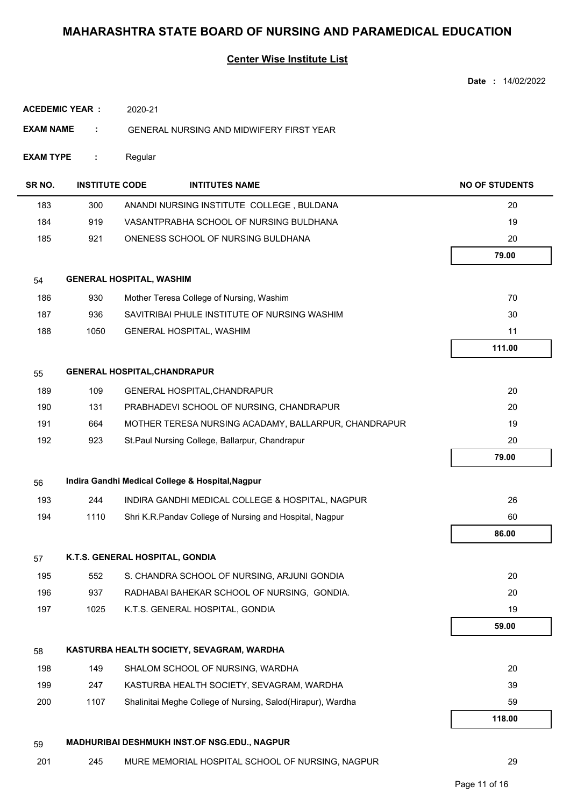#### **Center Wise Institute List**

|                  |                       |                                     |                                                             | Date: 14/02/2022      |
|------------------|-----------------------|-------------------------------------|-------------------------------------------------------------|-----------------------|
|                  | <b>ACEDEMIC YEAR:</b> | 2020-21                             |                                                             |                       |
| <b>EXAM NAME</b> | ÷                     |                                     | GENERAL NURSING AND MIDWIFERY FIRST YEAR                    |                       |
|                  |                       |                                     |                                                             |                       |
| <b>EXAM TYPE</b> | ÷                     | Regular                             |                                                             |                       |
| SR NO.           | <b>INSTITUTE CODE</b> |                                     | <b>INTITUTES NAME</b>                                       | <b>NO OF STUDENTS</b> |
| 183              | 300                   |                                     | ANANDI NURSING INSTITUTE COLLEGE, BULDANA                   | 20                    |
| 184              | 919                   |                                     | VASANTPRABHA SCHOOL OF NURSING BULDHANA                     | 19                    |
| 185              | 921                   |                                     | ONENESS SCHOOL OF NURSING BULDHANA                          | 20                    |
|                  |                       |                                     |                                                             | 79.00                 |
| 54               |                       | <b>GENERAL HOSPITAL, WASHIM</b>     |                                                             |                       |
| 186              | 930                   |                                     | Mother Teresa College of Nursing, Washim                    | 70                    |
| 187              | 936                   |                                     | SAVITRIBAI PHULE INSTITUTE OF NURSING WASHIM                | 30                    |
| 188              | 1050                  |                                     | GENERAL HOSPITAL, WASHIM                                    | 11                    |
|                  |                       |                                     |                                                             | 111.00                |
| 55               |                       | <b>GENERAL HOSPITAL, CHANDRAPUR</b> |                                                             |                       |
| 189              | 109                   |                                     | GENERAL HOSPITAL, CHANDRAPUR                                | 20                    |
| 190              | 131                   |                                     | PRABHADEVI SCHOOL OF NURSING, CHANDRAPUR                    | 20                    |
| 191              | 664                   |                                     | MOTHER TERESA NURSING ACADAMY, BALLARPUR, CHANDRAPUR        | 19                    |
| 192              | 923                   |                                     | St.Paul Nursing College, Ballarpur, Chandrapur              | 20                    |
|                  |                       |                                     |                                                             | 79.00                 |
| 56               |                       |                                     | Indira Gandhi Medical College & Hospital, Nagpur            |                       |
| 193              | 244                   |                                     | INDIRA GANDHI MEDICAL COLLEGE & HOSPITAL, NAGPUR            | 26                    |
| 194              | 1110                  |                                     | Shri K.R.Pandav College of Nursing and Hospital, Nagpur     | 60                    |
|                  |                       |                                     |                                                             | 86.00                 |
| 57               |                       | K.T.S. GENERAL HOSPITAL, GONDIA     |                                                             |                       |
| 195              | 552                   |                                     | S. CHANDRA SCHOOL OF NURSING, ARJUNI GONDIA                 | 20                    |
| 196              | 937                   |                                     | RADHABAI BAHEKAR SCHOOL OF NURSING, GONDIA.                 | 20                    |
| 197              | 1025                  |                                     | K.T.S. GENERAL HOSPITAL, GONDIA                             | 19                    |
|                  |                       |                                     |                                                             | 59.00                 |
| 58               |                       |                                     | KASTURBA HEALTH SOCIETY, SEVAGRAM, WARDHA                   |                       |
| 198              | 149                   |                                     | SHALOM SCHOOL OF NURSING, WARDHA                            | 20                    |
| 199              | 247                   |                                     | KASTURBA HEALTH SOCIETY, SEVAGRAM, WARDHA                   | 39                    |
| 200              | 1107                  |                                     | Shalinitai Meghe College of Nursing, Salod(Hirapur), Wardha | 59                    |
|                  |                       |                                     |                                                             | 118.00                |
| 59               |                       |                                     | MADHURIBAI DESHMUKH INST.OF NSG.EDU., NAGPUR                |                       |

201 245 MURE MEMORIAL HOSPITAL SCHOOL OF NURSING, NAGPUR 29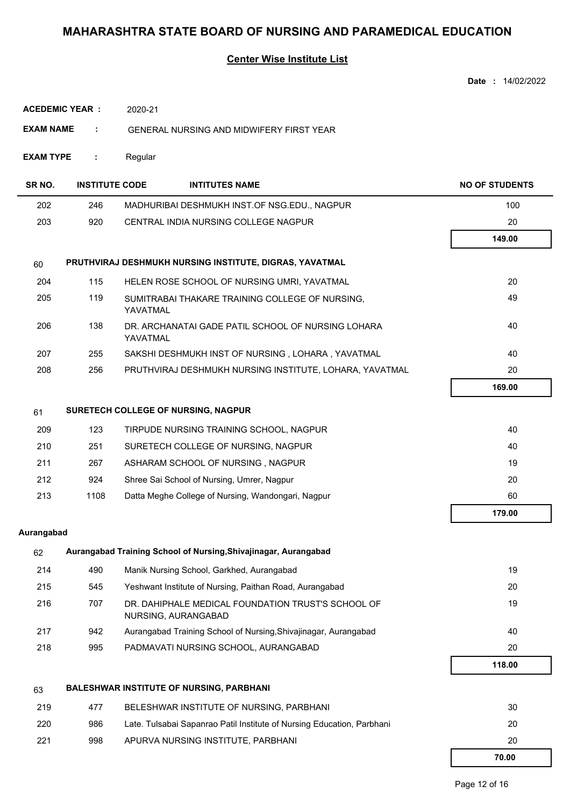#### **Center Wise Institute List**

| <b>ACEDEMIC YEAR:</b><br>2020-21                                          |                       |          |                                                                           |                       |  |
|---------------------------------------------------------------------------|-----------------------|----------|---------------------------------------------------------------------------|-----------------------|--|
| <b>EXAM NAME</b><br>÷.<br><b>GENERAL NURSING AND MIDWIFERY FIRST YEAR</b> |                       |          |                                                                           |                       |  |
| <b>EXAM TYPE</b><br>Regular<br>÷.                                         |                       |          |                                                                           |                       |  |
| SR <sub>NO</sub> .                                                        | <b>INSTITUTE CODE</b> |          | <b>INTITUTES NAME</b>                                                     | <b>NO OF STUDENTS</b> |  |
| 202                                                                       | 246                   |          | MADHURIBAI DESHMUKH INST.OF NSG.EDU., NAGPUR                              | 100                   |  |
| 203                                                                       | 920                   |          | CENTRAL INDIA NURSING COLLEGE NAGPUR                                      | 20                    |  |
|                                                                           |                       |          |                                                                           | 149.00                |  |
| 60                                                                        |                       |          | PRUTHVIRAJ DESHMUKH NURSING INSTITUTE, DIGRAS, YAVATMAL                   |                       |  |
| 204                                                                       | 115                   |          | HELEN ROSE SCHOOL OF NURSING UMRI, YAVATMAL                               | 20                    |  |
| 205                                                                       | 119                   | YAVATMAL | SUMITRABAI THAKARE TRAINING COLLEGE OF NURSING,                           | 49                    |  |
| 206                                                                       | 138                   | YAVATMAL | DR. ARCHANATAI GADE PATIL SCHOOL OF NURSING LOHARA                        | 40                    |  |
| 207                                                                       | 255                   |          | SAKSHI DESHMUKH INST OF NURSING, LOHARA, YAVATMAL                         | 40                    |  |
| 208                                                                       | 256                   |          | PRUTHVIRAJ DESHMUKH NURSING INSTITUTE, LOHARA, YAVATMAL                   | 20                    |  |
|                                                                           |                       |          |                                                                           | 169.00                |  |
| 61                                                                        |                       |          | SURETECH COLLEGE OF NURSING, NAGPUR                                       |                       |  |
| 209                                                                       | 123                   |          | TIRPUDE NURSING TRAINING SCHOOL, NAGPUR                                   | 40                    |  |
| 210                                                                       | 251                   |          | SURETECH COLLEGE OF NURSING, NAGPUR                                       | 40                    |  |
| 211                                                                       | 267                   |          | ASHARAM SCHOOL OF NURSING, NAGPUR                                         | 19                    |  |
| 212                                                                       | 924                   |          | Shree Sai School of Nursing, Umrer, Nagpur                                | 20                    |  |
| 213                                                                       | 1108                  |          | Datta Meghe College of Nursing, Wandongari, Nagpur                        | 60                    |  |
|                                                                           |                       |          |                                                                           | 179.00                |  |
| Aurangabad                                                                |                       |          |                                                                           |                       |  |
| 62                                                                        |                       |          | Aurangabad Training School of Nursing, Shivajinagar, Aurangabad           |                       |  |
| 214                                                                       | 490                   |          | Manik Nursing School, Garkhed, Aurangabad                                 | 19                    |  |
| 215                                                                       | 545                   |          | Yeshwant Institute of Nursing, Paithan Road, Aurangabad                   | 20                    |  |
| 216                                                                       | 707                   |          | DR. DAHIPHALE MEDICAL FOUNDATION TRUST'S SCHOOL OF<br>NURSING, AURANGABAD | 19                    |  |
| 217                                                                       | 942                   |          | Aurangabad Training School of Nursing, Shivajinagar, Aurangabad           | 40                    |  |
| 218                                                                       | 995                   |          | PADMAVATI NURSING SCHOOL, AURANGABAD                                      | 20                    |  |
|                                                                           |                       |          |                                                                           | 118.00                |  |
| 63                                                                        |                       |          | <b>BALESHWAR INSTITUTE OF NURSING, PARBHANI</b>                           |                       |  |
| 219                                                                       | 477                   |          | BELESHWAR INSTITUTE OF NURSING, PARBHANI                                  | 30                    |  |
| 220                                                                       | 986                   |          | Late. Tulsabai Sapanrao Patil Institute of Nursing Education, Parbhani    | 20                    |  |
| 221                                                                       | 998                   |          | APURVA NURSING INSTITUTE, PARBHANI                                        | 20                    |  |
|                                                                           |                       |          |                                                                           | 70.00                 |  |

**Date :** 14/02/2022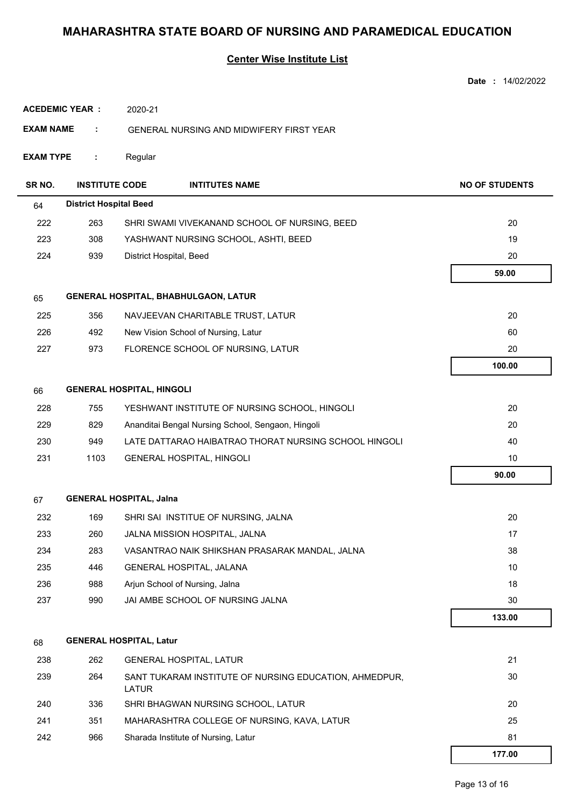|                                        |                               |                                                 |                                                        | Date: 14/02/2022      |
|----------------------------------------|-------------------------------|-------------------------------------------------|--------------------------------------------------------|-----------------------|
| <b>ACEDEMIC YEAR:</b><br>2020-21       |                               |                                                 |                                                        |                       |
| <b>EXAM NAME</b>                       | ÷                             | <b>GENERAL NURSING AND MIDWIFERY FIRST YEAR</b> |                                                        |                       |
| <b>EXAM TYPE</b><br>÷                  |                               | Regular                                         |                                                        |                       |
| SR NO.                                 | <b>INSTITUTE CODE</b>         |                                                 | <b>INTITUTES NAME</b>                                  | <b>NO OF STUDENTS</b> |
| 64                                     | <b>District Hospital Beed</b> |                                                 |                                                        |                       |
| 222                                    | 263                           |                                                 | SHRI SWAMI VIVEKANAND SCHOOL OF NURSING, BEED          | 20                    |
| 223                                    | 308                           | YASHWANT NURSING SCHOOL, ASHTI, BEED            |                                                        | 19                    |
| 224                                    | 939                           |                                                 | District Hospital, Beed                                | 20                    |
|                                        |                               |                                                 |                                                        | 59.00                 |
| 65                                     |                               |                                                 | <b>GENERAL HOSPITAL, BHABHULGAON, LATUR</b>            |                       |
| 225                                    | 356                           |                                                 | NAVJEEVAN CHARITABLE TRUST, LATUR                      | 20                    |
| 226                                    | 492                           |                                                 | New Vision School of Nursing, Latur                    | 60                    |
| 227                                    | 973                           |                                                 | FLORENCE SCHOOL OF NURSING, LATUR                      | 20                    |
|                                        |                               |                                                 |                                                        | 100.00                |
| <b>GENERAL HOSPITAL, HINGOLI</b><br>66 |                               |                                                 |                                                        |                       |
| 228                                    | 755                           |                                                 | YESHWANT INSTITUTE OF NURSING SCHOOL, HINGOLI          | 20                    |
| 229                                    | 829                           |                                                 | Ananditai Bengal Nursing School, Sengaon, Hingoli      | 20                    |
| 230                                    | 949                           |                                                 | LATE DATTARAO HAIBATRAO THORAT NURSING SCHOOL HINGOLI  | 40                    |
| 231                                    | 1103                          |                                                 | <b>GENERAL HOSPITAL, HINGOLI</b>                       | 10                    |
|                                        |                               |                                                 |                                                        | 90.00                 |
| 67                                     |                               | <b>GENERAL HOSPITAL, Jalna</b>                  |                                                        |                       |
| 232                                    | 169                           |                                                 | SHRI SAI INSTITUE OF NURSING, JALNA                    | 20                    |
| 233                                    | 260                           |                                                 | JALNA MISSION HOSPITAL, JALNA                          | 17                    |
| 234                                    | 283                           |                                                 | VASANTRAO NAIK SHIKSHAN PRASARAK MANDAL, JALNA         | 38                    |
| 235                                    | 446                           |                                                 | GENERAL HOSPITAL, JALANA                               | 10                    |
| 236                                    | 988                           |                                                 | Arjun School of Nursing, Jalna                         | 18                    |
| 237                                    | 990                           |                                                 | JAI AMBE SCHOOL OF NURSING JALNA                       | 30                    |
|                                        |                               |                                                 |                                                        | 133.00                |
| 68                                     |                               | <b>GENERAL HOSPITAL, Latur</b>                  |                                                        |                       |
| 238                                    | 262                           |                                                 | <b>GENERAL HOSPITAL, LATUR</b>                         | 21                    |
| 239                                    | 264                           | <b>LATUR</b>                                    | SANT TUKARAM INSTITUTE OF NURSING EDUCATION, AHMEDPUR, | 30                    |
| 240                                    | 336                           |                                                 | SHRI BHAGWAN NURSING SCHOOL, LATUR                     | 20                    |
| 241                                    | 351                           |                                                 | MAHARASHTRA COLLEGE OF NURSING, KAVA, LATUR            | 25                    |
| 242                                    | 966                           |                                                 | Sharada Institute of Nursing, Latur                    | 81                    |
|                                        |                               |                                                 |                                                        | 177.00                |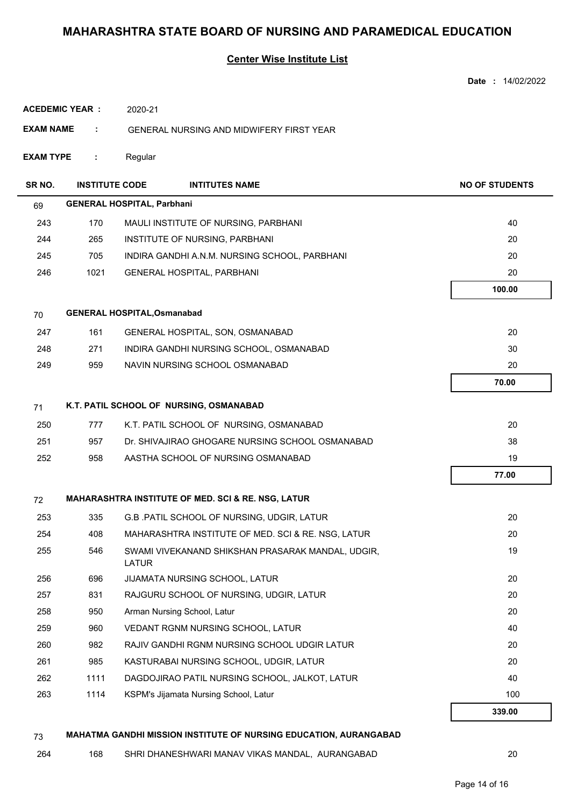|                        |                       |                                                                          | Date: 14/02/2022      |  |  |
|------------------------|-----------------------|--------------------------------------------------------------------------|-----------------------|--|--|
| <b>ACEDEMIC YEAR:</b>  |                       | 2020-21                                                                  |                       |  |  |
| <b>EXAM NAME</b><br>÷. |                       | <b>GENERAL NURSING AND MIDWIFERY FIRST YEAR</b>                          |                       |  |  |
| <b>EXAM TYPE</b>       | ÷.                    | Regular                                                                  |                       |  |  |
| SR NO.                 | <b>INSTITUTE CODE</b> | <b>INTITUTES NAME</b>                                                    | <b>NO OF STUDENTS</b> |  |  |
| 69                     |                       | <b>GENERAL HOSPITAL, Parbhani</b>                                        |                       |  |  |
| 243                    | 170                   | MAULI INSTITUTE OF NURSING, PARBHANI                                     | 40                    |  |  |
| 244                    | 265                   | INSTITUTE OF NURSING, PARBHANI                                           | 20                    |  |  |
| 245                    | 705                   | INDIRA GANDHI A.N.M. NURSING SCHOOL, PARBHANI                            | 20                    |  |  |
| 246                    | 1021                  | GENERAL HOSPITAL, PARBHANI                                               | 20                    |  |  |
|                        |                       |                                                                          | 100.00                |  |  |
| 70                     |                       | <b>GENERAL HOSPITAL, Osmanabad</b>                                       |                       |  |  |
| 247                    | 161                   | GENERAL HOSPITAL, SON, OSMANABAD                                         | 20                    |  |  |
| 248                    | 271                   | INDIRA GANDHI NURSING SCHOOL, OSMANABAD                                  | 30                    |  |  |
| 249                    | 959                   | NAVIN NURSING SCHOOL OSMANABAD                                           | 20                    |  |  |
|                        |                       |                                                                          | 70.00                 |  |  |
| 71                     |                       | K.T. PATIL SCHOOL OF NURSING, OSMANABAD                                  |                       |  |  |
| 250                    | 777                   | K.T. PATIL SCHOOL OF NURSING, OSMANABAD                                  | 20                    |  |  |
| 251                    | 957                   | Dr. SHIVAJIRAO GHOGARE NURSING SCHOOL OSMANABAD                          | 38                    |  |  |
| 252                    | 958                   | AASTHA SCHOOL OF NURSING OSMANABAD                                       | 19                    |  |  |
|                        |                       |                                                                          | 77.00                 |  |  |
| 72                     |                       | <b>MAHARASHTRA INSTITUTE OF MED. SCI &amp; RE. NSG, LATUR</b>            |                       |  |  |
| 253                    | 335                   | G.B. PATIL SCHOOL OF NURSING, UDGIR, LATUR                               | 20                    |  |  |
| 254                    | 408                   | MAHARASHTRA INSTITUTE OF MED. SCI & RE. NSG, LATUR                       | 20                    |  |  |
| 255                    | 546                   | SWAMI VIVEKANAND SHIKSHAN PRASARAK MANDAL, UDGIR,<br>LATUR               | 19                    |  |  |
| 256                    | 696                   | JIJAMATA NURSING SCHOOL, LATUR                                           | 20                    |  |  |
| 257                    | 831                   | RAJGURU SCHOOL OF NURSING, UDGIR, LATUR                                  | 20                    |  |  |
| 258                    | 950                   | Arman Nursing School, Latur                                              | 20                    |  |  |
| 259                    | 960                   | VEDANT RGNM NURSING SCHOOL, LATUR                                        | 40                    |  |  |
| 260                    | 982                   | RAJIV GANDHI RGNM NURSING SCHOOL UDGIR LATUR                             | 20                    |  |  |
| 261                    | 985                   | KASTURABAI NURSING SCHOOL, UDGIR, LATUR                                  | 20                    |  |  |
| 262                    | 1111                  | DAGDOJIRAO PATIL NURSING SCHOOL, JALKOT, LATUR                           | 40                    |  |  |
| 263                    | 1114                  | KSPM's Jijamata Nursing School, Latur                                    | 100                   |  |  |
|                        |                       |                                                                          | 339.00                |  |  |
| 73                     |                       | <b>MAHATMA GANDHI MISSION INSTITUTE OF NURSING EDUCATION, AURANGABAD</b> |                       |  |  |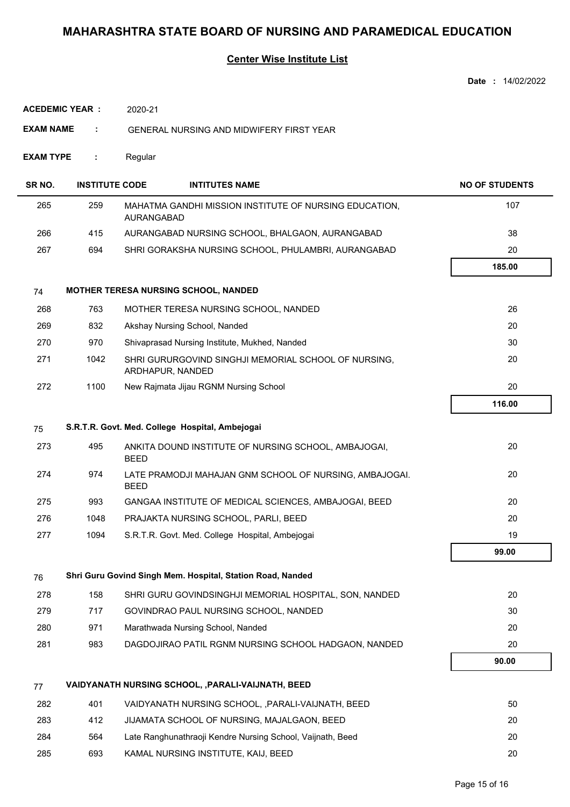|                       |                       |                                                                             | Date: 14/02/2022      |
|-----------------------|-----------------------|-----------------------------------------------------------------------------|-----------------------|
| <b>ACEDEMIC YEAR:</b> |                       | 2020-21                                                                     |                       |
| <b>EXAM NAME</b>      | ÷                     | <b>GENERAL NURSING AND MIDWIFERY FIRST YEAR</b>                             |                       |
| <b>EXAM TYPE</b>      | ÷                     | Regular                                                                     |                       |
| SR NO.                | <b>INSTITUTE CODE</b> | <b>INTITUTES NAME</b>                                                       | <b>NO OF STUDENTS</b> |
| 265                   | 259                   | MAHATMA GANDHI MISSION INSTITUTE OF NURSING EDUCATION,<br><b>AURANGABAD</b> | 107                   |
| 266                   | 415                   | AURANGABAD NURSING SCHOOL, BHALGAON, AURANGABAD                             | 38                    |
| 267                   | 694                   | SHRI GORAKSHA NURSING SCHOOL, PHULAMBRI, AURANGABAD                         | 20                    |
|                       |                       |                                                                             | 185.00                |
| 74                    |                       | <b>MOTHER TERESA NURSING SCHOOL, NANDED</b>                                 |                       |
| 268                   | 763                   | MOTHER TERESA NURSING SCHOOL, NANDED                                        | 26                    |
| 269                   | 832                   | Akshay Nursing School, Nanded                                               | 20                    |
| 270                   | 970                   | Shivaprasad Nursing Institute, Mukhed, Nanded                               | 30                    |
| 271                   | 1042                  | SHRI GURURGOVIND SINGHJI MEMORIAL SCHOOL OF NURSING,<br>ARDHAPUR, NANDED    | 20                    |
| 272                   | 1100                  | New Rajmata Jijau RGNM Nursing School                                       | 20                    |
|                       |                       |                                                                             | 116.00                |
| 75                    |                       | S.R.T.R. Govt. Med. College Hospital, Ambejogai                             |                       |
| 273                   | 495                   | ANKITA DOUND INSTITUTE OF NURSING SCHOOL, AMBAJOGAI,<br><b>BEED</b>         | 20                    |
| 274                   | 974                   | LATE PRAMODJI MAHAJAN GNM SCHOOL OF NURSING, AMBAJOGAI.<br><b>BEED</b>      | 20                    |
| 275                   | 993                   | GANGAA INSTITUTE OF MEDICAL SCIENCES, AMBAJOGAI, BEED                       | 20                    |
| 276                   | 1048                  | PRAJAKTA NURSING SCHOOL, PARLI, BEED                                        | 20                    |
| 277                   | 1094                  | S.R.T.R. Govt. Med. College Hospital, Ambejogai                             | 19                    |
|                       |                       |                                                                             | 99.00                 |
| 76                    |                       | Shri Guru Govind Singh Mem. Hospital, Station Road, Nanded                  |                       |
| 278                   | 158                   | SHRI GURU GOVINDSINGHJI MEMORIAL HOSPITAL, SON, NANDED                      | 20                    |
| 279                   | 717                   | GOVINDRAO PAUL NURSING SCHOOL, NANDED                                       | 30                    |
| 280                   | 971                   | Marathwada Nursing School, Nanded                                           | 20                    |
| 281                   | 983                   | DAGDOJIRAO PATIL RGNM NURSING SCHOOL HADGAON, NANDED                        | 20                    |
|                       |                       |                                                                             | 90.00                 |
| 77                    |                       | VAIDYANATH NURSING SCHOOL, , PARALI-VAIJNATH, BEED                          |                       |
| 282                   | 401                   | VAIDYANATH NURSING SCHOOL, , PARALI-VAIJNATH, BEED                          | 50                    |
| 283                   | 412                   | JIJAMATA SCHOOL OF NURSING, MAJALGAON, BEED                                 | 20                    |
| 284                   | 564                   | Late Ranghunathraoji Kendre Nursing School, Vaijnath, Beed                  | 20                    |
| 285                   | 693                   | KAMAL NURSING INSTITUTE, KAIJ, BEED                                         | 20                    |